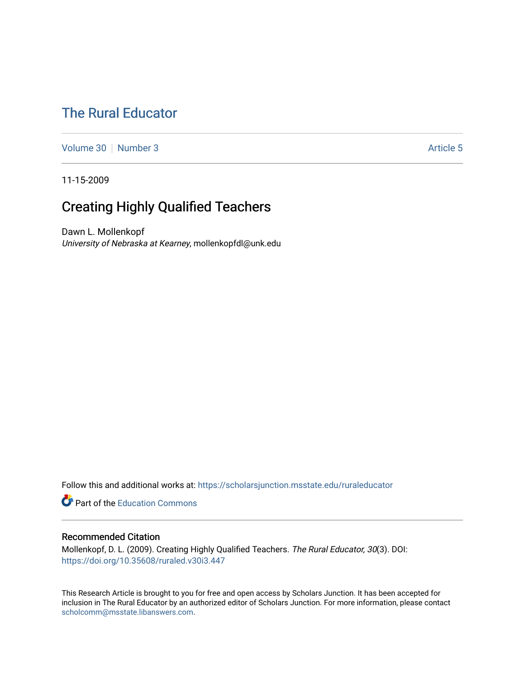# [The Rural Educator](https://scholarsjunction.msstate.edu/ruraleducator)

[Volume 30](https://scholarsjunction.msstate.edu/ruraleducator/vol30) [Number 3](https://scholarsjunction.msstate.edu/ruraleducator/vol30/iss3) Article 5

11-15-2009

# Creating Highly Qualified Teachers

Dawn L. Mollenkopf University of Nebraska at Kearney, mollenkopfdl@unk.edu

Follow this and additional works at: [https://scholarsjunction.msstate.edu/ruraleducator](https://scholarsjunction.msstate.edu/ruraleducator?utm_source=scholarsjunction.msstate.edu%2Fruraleducator%2Fvol30%2Fiss3%2F5&utm_medium=PDF&utm_campaign=PDFCoverPages)

**C** Part of the [Education Commons](http://network.bepress.com/hgg/discipline/784?utm_source=scholarsjunction.msstate.edu%2Fruraleducator%2Fvol30%2Fiss3%2F5&utm_medium=PDF&utm_campaign=PDFCoverPages)

### Recommended Citation

Mollenkopf, D. L. (2009). Creating Highly Qualified Teachers. The Rural Educator, 30(3). DOI: <https://doi.org/10.35608/ruraled.v30i3.447>

This Research Article is brought to you for free and open access by Scholars Junction. It has been accepted for inclusion in The Rural Educator by an authorized editor of Scholars Junction. For more information, please contact [scholcomm@msstate.libanswers.com.](mailto:scholcomm@msstate.libanswers.com)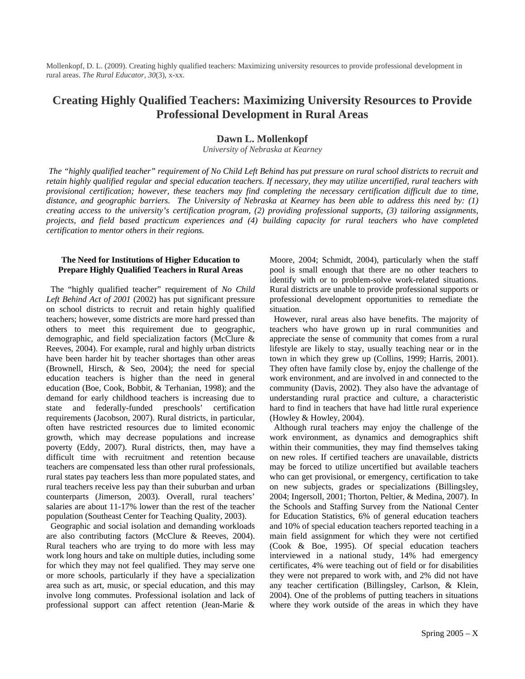Mollenkopf, D. L. (2009). Creating highly qualified teachers: Maximizing university resources to provide professional development in rural areas. *The Rural Educator, 30*(3), x-xx.

## **Creating Highly Qualified Teachers: Maximizing University Resources to Provide Professional Development in Rural Areas**

### **Dawn L. Mollenkopf**

*University of Nebraska at Kearney* 

*The "highly qualified teacher" requirement of No Child Left Behind has put pressure on rural school districts to recruit and retain highly qualified regular and special education teachers. If necessary, they may utilize uncertified, rural teachers with provisional certification; however, these teachers may find completing the necessary certification difficult due to time, distance, and geographic barriers. The University of Nebraska at Kearney has been able to address this need by: (1) creating access to the university's certification program, (2) providing professional supports, (3) tailoring assignments, projects, and field based practicum experiences and (4) building capacity for rural teachers who have completed certification to mentor others in their regions.*

#### **The Need for Institutions of Higher Education to Prepare Highly Qualified Teachers in Rural Areas**

 The "highly qualified teacher" requirement of *No Child Left Behind Act of 2001* (2002) has put significant pressure on school districts to recruit and retain highly qualified teachers; however, some districts are more hard pressed than others to meet this requirement due to geographic, demographic, and field specialization factors (McClure & Reeves, 2004). For example, rural and highly urban districts have been harder hit by teacher shortages than other areas (Brownell, Hirsch, & Seo, 2004); the need for special education teachers is higher than the need in general education (Boe, Cook, Bobbit, & Terhanian, 1998); and the demand for early childhood teachers is increasing due to state and federally-funded preschools' certification requirements (Jacobson, 2007). Rural districts, in particular, often have restricted resources due to limited economic growth, which may decrease populations and increase poverty (Eddy, 2007). Rural districts, then, may have a difficult time with recruitment and retention because teachers are compensated less than other rural professionals, rural states pay teachers less than more populated states, and rural teachers receive less pay than their suburban and urban counterparts (Jimerson, 2003). Overall, rural teachers' salaries are about 11-17% lower than the rest of the teacher population (Southeast Center for Teaching Quality, 2003).

 Geographic and social isolation and demanding workloads are also contributing factors (McClure & Reeves, 2004). Rural teachers who are trying to do more with less may work long hours and take on multiple duties, including some for which they may not feel qualified. They may serve one or more schools, particularly if they have a specialization area such as art, music, or special education, and this may involve long commutes. Professional isolation and lack of professional support can affect retention (Jean-Marie &

Moore, 2004; Schmidt, 2004), particularly when the staff pool is small enough that there are no other teachers to identify with or to problem-solve work-related situations. Rural districts are unable to provide professional supports or professional development opportunities to remediate the situation.

 However, rural areas also have benefits. The majority of teachers who have grown up in rural communities and appreciate the sense of community that comes from a rural lifestyle are likely to stay, usually teaching near or in the town in which they grew up (Collins, 1999; Harris, 2001). They often have family close by, enjoy the challenge of the work environment, and are involved in and connected to the community (Davis, 2002). They also have the advantage of understanding rural practice and culture, a characteristic hard to find in teachers that have had little rural experience (Howley & Howley, 2004).

 Although rural teachers may enjoy the challenge of the work environment, as dynamics and demographics shift within their communities, they may find themselves taking on new roles. If certified teachers are unavailable, districts may be forced to utilize uncertified but available teachers who can get provisional, or emergency, certification to take on new subjects, grades or specializations (Billingsley, 2004; Ingersoll, 2001; Thorton, Peltier, & Medina, 2007). In the Schools and Staffing Survey from the National Center for Education Statistics, 6% of general education teachers and 10% of special education teachers reported teaching in a main field assignment for which they were not certified (Cook & Boe, 1995). Of special education teachers interviewed in a national study, 14% had emergency certificates, 4% were teaching out of field or for disabilities they were not prepared to work with, and 2% did not have any teacher certification (Billingsley, Carlson, & Klein, 2004). One of the problems of putting teachers in situations where they work outside of the areas in which they have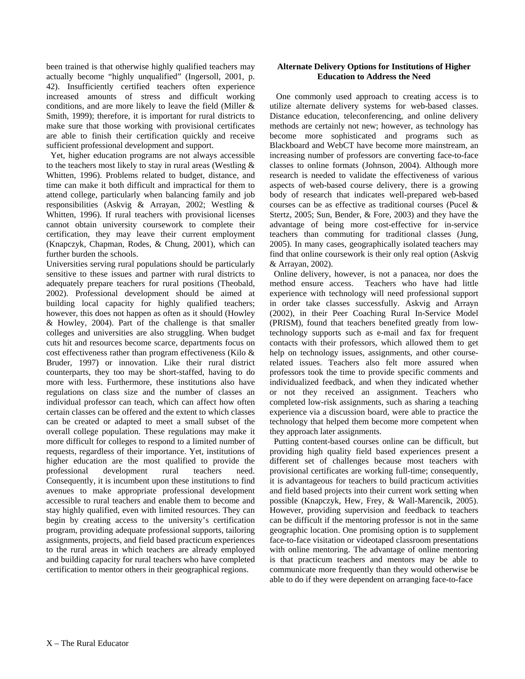been trained is that otherwise highly qualified teachers may actually become "highly unqualified" (Ingersoll, 2001, p. 42). Insufficiently certified teachers often experience increased amounts of stress and difficult working conditions, and are more likely to leave the field (Miller & Smith, 1999); therefore, it is important for rural districts to make sure that those working with provisional certificates are able to finish their certification quickly and receive sufficient professional development and support.

 Yet, higher education programs are not always accessible to the teachers most likely to stay in rural areas (Westling & Whitten, 1996). Problems related to budget, distance, and time can make it both difficult and impractical for them to attend college, particularly when balancing family and job responsibilities (Askvig & Arrayan, 2002; Westling & Whitten, 1996). If rural teachers with provisional licenses cannot obtain university coursework to complete their certification, they may leave their current employment (Knapczyk, Chapman, Rodes, & Chung, 2001), which can further burden the schools.

Universities serving rural populations should be particularly sensitive to these issues and partner with rural districts to adequately prepare teachers for rural positions (Theobald, 2002). Professional development should be aimed at building local capacity for highly qualified teachers; however, this does not happen as often as it should (Howley & Howley, 2004). Part of the challenge is that smaller colleges and universities are also struggling. When budget cuts hit and resources become scarce, departments focus on cost effectiveness rather than program effectiveness (Kilo & Bruder, 1997) or innovation. Like their rural district counterparts, they too may be short-staffed, having to do more with less. Furthermore, these institutions also have regulations on class size and the number of classes an individual professor can teach, which can affect how often certain classes can be offered and the extent to which classes can be created or adapted to meet a small subset of the overall college population. These regulations may make it more difficult for colleges to respond to a limited number of requests, regardless of their importance. Yet, institutions of higher education are the most qualified to provide the professional development rural teachers need. Consequently, it is incumbent upon these institutions to find avenues to make appropriate professional development accessible to rural teachers and enable them to become and stay highly qualified, even with limited resources. They can begin by creating access to the university's certification program, providing adequate professional supports, tailoring assignments, projects, and field based practicum experiences to the rural areas in which teachers are already employed and building capacity for rural teachers who have completed certification to mentor others in their geographical regions.

#### **Alternate Delivery Options for Institutions of Higher Education to Address the Need**

 One commonly used approach to creating access is to utilize alternate delivery systems for web-based classes. Distance education, teleconferencing, and online delivery methods are certainly not new; however, as technology has become more sophisticated and programs such as Blackboard and WebCT have become more mainstream, an increasing number of professors are converting face-to-face classes to online formats (Johnson, 2004). Although more research is needed to validate the effectiveness of various aspects of web-based course delivery, there is a growing body of research that indicates well-prepared web-based courses can be as effective as traditional courses (Pucel & Stertz, 2005; Sun, Bender, & Fore, 2003) and they have the advantage of being more cost-effective for in-service teachers than commuting for traditional classes (Jung, 2005). In many cases, geographically isolated teachers may find that online coursework is their only real option (Askvig & Arrayan, 2002).

 Online delivery, however, is not a panacea, nor does the method ensure access. Teachers who have had little experience with technology will need professional support in order take classes successfully. Askvig and Arrayn (2002), in their Peer Coaching Rural In-Service Model (PRISM), found that teachers benefited greatly from lowtechnology supports such as e-mail and fax for frequent contacts with their professors, which allowed them to get help on technology issues, assignments, and other courserelated issues. Teachers also felt more assured when professors took the time to provide specific comments and individualized feedback, and when they indicated whether or not they received an assignment. Teachers who completed low-risk assignments, such as sharing a teaching experience via a discussion board, were able to practice the technology that helped them become more competent when they approach later assignments.

 Putting content-based courses online can be difficult, but providing high quality field based experiences present a different set of challenges because most teachers with provisional certificates are working full-time; consequently, it is advantageous for teachers to build practicum activities and field based projects into their current work setting when possible (Knapczyk, Hew, Frey, & Wall-Marencik, 2005). However, providing supervision and feedback to teachers can be difficult if the mentoring professor is not in the same geographic location. One promising option is to supplement face-to-face visitation or videotaped classroom presentations with online mentoring. The advantage of online mentoring is that practicum teachers and mentors may be able to communicate more frequently than they would otherwise be able to do if they were dependent on arranging face-to-face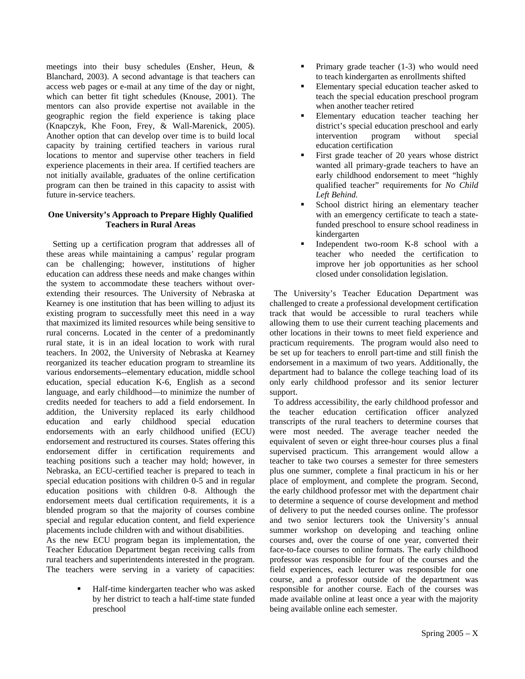meetings into their busy schedules (Ensher, Heun, & Blanchard, 2003). A second advantage is that teachers can access web pages or e-mail at any time of the day or night, which can better fit tight schedules (Knouse, 2001). The mentors can also provide expertise not available in the geographic region the field experience is taking place (Knapczyk, Khe Foon, Frey, & Wall-Marenick, 2005). Another option that can develop over time is to build local capacity by training certified teachers in various rural locations to mentor and supervise other teachers in field experience placements in their area. If certified teachers are not initially available, graduates of the online certification program can then be trained in this capacity to assist with future in-service teachers.

#### **One University's Approach to Prepare Highly Qualified Teachers in Rural Areas**

 Setting up a certification program that addresses all of these areas while maintaining a campus' regular program can be challenging; however, institutions of higher education can address these needs and make changes within the system to accommodate these teachers without overextending their resources. The University of Nebraska at Kearney is one institution that has been willing to adjust its existing program to successfully meet this need in a way that maximized its limited resources while being sensitive to rural concerns. Located in the center of a predominantly rural state, it is in an ideal location to work with rural teachers. In 2002, the University of Nebraska at Kearney reorganized its teacher education program to streamline its various endorsements--elementary education, middle school education, special education K-6, English as a second language, and early childhood—to minimize the number of credits needed for teachers to add a field endorsement. In addition, the University replaced its early childhood education and early childhood special education endorsements with an early childhood unified (ECU) endorsement and restructured its courses. States offering this endorsement differ in certification requirements and teaching positions such a teacher may hold; however, in Nebraska, an ECU-certified teacher is prepared to teach in special education positions with children 0-5 and in regular education positions with children 0-8. Although the endorsement meets dual certification requirements, it is a blended program so that the majority of courses combine special and regular education content, and field experience placements include children with and without disabilities.

As the new ECU program began its implementation, the Teacher Education Department began receiving calls from rural teachers and superintendents interested in the program. The teachers were serving in a variety of capacities:

> Half-time kindergarten teacher who was asked by her district to teach a half-time state funded preschool

- Primary grade teacher (1-3) who would need to teach kindergarten as enrollments shifted
- Elementary special education teacher asked to teach the special education preschool program when another teacher retired
- Elementary education teacher teaching her district's special education preschool and early intervention program without special education certification
- First grade teacher of 20 years whose district wanted all primary-grade teachers to have an early childhood endorsement to meet "highly qualified teacher" requirements for *No Child Left Behind.*
- School district hiring an elementary teacher with an emergency certificate to teach a statefunded preschool to ensure school readiness in kindergarten
- Independent two-room K-8 school with a teacher who needed the certification to improve her job opportunities as her school closed under consolidation legislation.

 The University's Teacher Education Department was challenged to create a professional development certification track that would be accessible to rural teachers while allowing them to use their current teaching placements and other locations in their towns to meet field experience and practicum requirements. The program would also need to be set up for teachers to enroll part-time and still finish the endorsement in a maximum of two years. Additionally, the department had to balance the college teaching load of its only early childhood professor and its senior lecturer support.

 To address accessibility, the early childhood professor and the teacher education certification officer analyzed transcripts of the rural teachers to determine courses that were most needed. The average teacher needed the equivalent of seven or eight three-hour courses plus a final supervised practicum. This arrangement would allow a teacher to take two courses a semester for three semesters plus one summer, complete a final practicum in his or her place of employment, and complete the program. Second, the early childhood professor met with the department chair to determine a sequence of course development and method of delivery to put the needed courses online. The professor and two senior lecturers took the University's annual summer workshop on developing and teaching online courses and, over the course of one year, converted their face-to-face courses to online formats. The early childhood professor was responsible for four of the courses and the field experiences, each lecturer was responsible for one course, and a professor outside of the department was responsible for another course. Each of the courses was made available online at least once a year with the majority being available online each semester.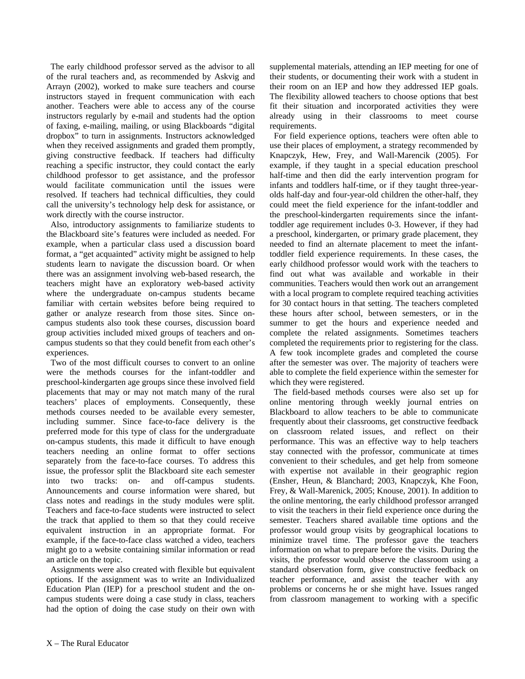The early childhood professor served as the advisor to all of the rural teachers and, as recommended by Askvig and Arrayn (2002), worked to make sure teachers and course instructors stayed in frequent communication with each another. Teachers were able to access any of the course instructors regularly by e-mail and students had the option of faxing, e-mailing, mailing, or using Blackboards "digital dropbox" to turn in assignments. Instructors acknowledged when they received assignments and graded them promptly, giving constructive feedback. If teachers had difficulty reaching a specific instructor, they could contact the early childhood professor to get assistance, and the professor would facilitate communication until the issues were resolved. If teachers had technical difficulties, they could call the university's technology help desk for assistance, or work directly with the course instructor.

 Also, introductory assignments to familiarize students to the Blackboard site's features were included as needed. For example, when a particular class used a discussion board format, a "get acquainted" activity might be assigned to help students learn to navigate the discussion board. Or when there was an assignment involving web-based research, the teachers might have an exploratory web-based activity where the undergraduate on-campus students became familiar with certain websites before being required to gather or analyze research from those sites. Since oncampus students also took these courses, discussion board group activities included mixed groups of teachers and oncampus students so that they could benefit from each other's experiences.

 Two of the most difficult courses to convert to an online were the methods courses for the infant-toddler and preschool-kindergarten age groups since these involved field placements that may or may not match many of the rural teachers' places of employments. Consequently, these methods courses needed to be available every semester, including summer. Since face-to-face delivery is the preferred mode for this type of class for the undergraduate on-campus students, this made it difficult to have enough teachers needing an online format to offer sections separately from the face-to-face courses. To address this issue, the professor split the Blackboard site each semester into two tracks: on- and off-campus students. Announcements and course information were shared, but class notes and readings in the study modules were split. Teachers and face-to-face students were instructed to select the track that applied to them so that they could receive equivalent instruction in an appropriate format. For example, if the face-to-face class watched a video, teachers might go to a website containing similar information or read an article on the topic.

 Assignments were also created with flexible but equivalent options. If the assignment was to write an Individualized Education Plan (IEP) for a preschool student and the oncampus students were doing a case study in class, teachers had the option of doing the case study on their own with

supplemental materials, attending an IEP meeting for one of their students, or documenting their work with a student in their room on an IEP and how they addressed IEP goals. The flexibility allowed teachers to choose options that best fit their situation and incorporated activities they were already using in their classrooms to meet course requirements.

 For field experience options, teachers were often able to use their places of employment, a strategy recommended by Knapczyk, Hew, Frey, and Wall-Marencik (2005). For example, if they taught in a special education preschool half-time and then did the early intervention program for infants and toddlers half-time, or if they taught three-yearolds half-day and four-year-old children the other-half, they could meet the field experience for the infant-toddler and the preschool-kindergarten requirements since the infanttoddler age requirement includes 0-3. However, if they had a preschool, kindergarten, or primary grade placement, they needed to find an alternate placement to meet the infanttoddler field experience requirements. In these cases, the early childhood professor would work with the teachers to find out what was available and workable in their communities. Teachers would then work out an arrangement with a local program to complete required teaching activities for 30 contact hours in that setting. The teachers completed these hours after school, between semesters, or in the summer to get the hours and experience needed and complete the related assignments. Sometimes teachers completed the requirements prior to registering for the class. A few took incomplete grades and completed the course after the semester was over. The majority of teachers were able to complete the field experience within the semester for which they were registered.

 The field-based methods courses were also set up for online mentoring through weekly journal entries on Blackboard to allow teachers to be able to communicate frequently about their classrooms, get constructive feedback on classroom related issues, and reflect on their performance. This was an effective way to help teachers stay connected with the professor, communicate at times convenient to their schedules, and get help from someone with expertise not available in their geographic region (Ensher, Heun, & Blanchard; 2003, Knapczyk, Khe Foon, Frey, & Wall-Marenick, 2005; Knouse, 2001). In addition to the online mentoring, the early childhood professor arranged to visit the teachers in their field experience once during the semester. Teachers shared available time options and the professor would group visits by geographical locations to minimize travel time. The professor gave the teachers information on what to prepare before the visits. During the visits, the professor would observe the classroom using a standard observation form, give constructive feedback on teacher performance, and assist the teacher with any problems or concerns he or she might have. Issues ranged from classroom management to working with a specific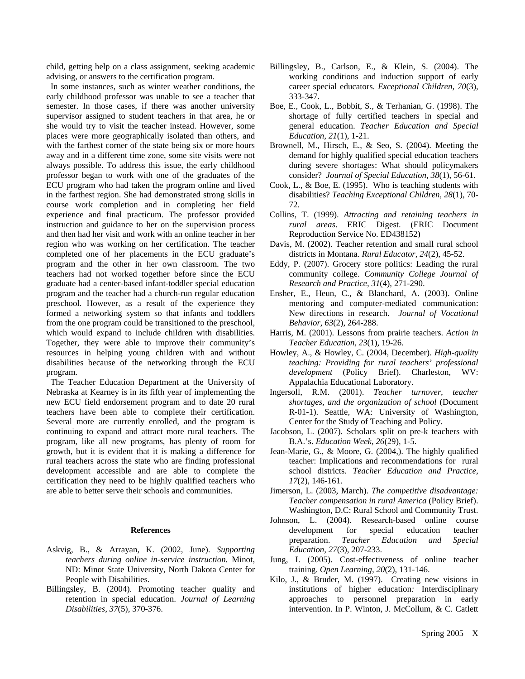child, getting help on a class assignment, seeking academic advising, or answers to the certification program.

 In some instances, such as winter weather conditions, the early childhood professor was unable to see a teacher that semester. In those cases, if there was another university supervisor assigned to student teachers in that area, he or she would try to visit the teacher instead. However, some places were more geographically isolated than others, and with the farthest corner of the state being six or more hours away and in a different time zone, some site visits were not always possible. To address this issue, the early childhood professor began to work with one of the graduates of the ECU program who had taken the program online and lived in the farthest region. She had demonstrated strong skills in course work completion and in completing her field experience and final practicum. The professor provided instruction and guidance to her on the supervision process and then had her visit and work with an online teacher in her region who was working on her certification. The teacher completed one of her placements in the ECU graduate's program and the other in her own classroom. The two teachers had not worked together before since the ECU graduate had a center-based infant-toddler special education program and the teacher had a church-run regular education preschool. However, as a result of the experience they formed a networking system so that infants and toddlers from the one program could be transitioned to the preschool, which would expand to include children with disabilities. Together, they were able to improve their community's resources in helping young children with and without disabilities because of the networking through the ECU program.

 The Teacher Education Department at the University of Nebraska at Kearney is in its fifth year of implementing the new ECU field endorsement program and to date 20 rural teachers have been able to complete their certification. Several more are currently enrolled, and the program is continuing to expand and attract more rural teachers. The program, like all new programs, has plenty of room for growth, but it is evident that it is making a difference for rural teachers across the state who are finding professional development accessible and are able to complete the certification they need to be highly qualified teachers who are able to better serve their schools and communities.

#### **References**

- Askvig, B., & Arrayan, K. (2002, June). *Supporting teachers during online in-service instruction.* Minot, ND: Minot State University, North Dakota Center for People with Disabilities.
- Billingsley, B. (2004). Promoting teacher quality and retention in special education. *Journal of Learning Disabilities, 37*(5), 370-376.
- Billingsley, B., Carlson, E., & Klein, S. (2004). The working conditions and induction support of early career special educators. *Exceptional Children, 70*(3), 333-347.
- Boe, E., Cook, L., Bobbit, S., & Terhanian, G. (1998). The shortage of fully certified teachers in special and general education. *Teacher Education and Special Education, 21*(1), 1-21.
- Brownell, M., Hirsch, E., & Seo, S. (2004). Meeting the demand for highly qualified special education teachers during severe shortages: What should policymakers consider? *Journal of Special Education, 38*(1), 56-61.
- Cook, L., & Boe, E. (1995). Who is teaching students with disabilities? *Teaching Exceptional Children, 28*(1), 70- 72.
- Collins, T. (1999). *Attracting and retaining teachers in rural areas*. ERIC Digest. (ERIC Document Reproduction Service No. ED438152)
- Davis, M. (2002). Teacher retention and small rural school districts in Montana. *Rural Educator, 24*(2), 45-52.
- Eddy, P. (2007). Grocery store politics: Leading the rural community college. *Community College Journal of Research and Practice, 31*(4), 271-290.
- Ensher, E., Heun, C., & Blanchard, A. (2003). Online mentoring and computer-mediated communication: New directions in research. *Journal of Vocational Behavior, 63*(2), 264-288.
- Harris, M. (2001). Lessons from prairie teachers. *Action in Teacher Education, 23*(1), 19-26.
- Howley, A., & Howley, C. (2004, December). *High-quality teaching: Providing for rural teachers' professional development* (Policy Brief). Charleston, WV: Appalachia Educational Laboratory.
- Ingersoll, R.M. (2001). *Teacher turnover, teacher shortages, and the organization of school* (Document R-01-1). Seattle, WA: University of Washington, Center for the Study of Teaching and Policy.
- Jacobson, L. (2007). Scholars split on pre-k teachers with B.A.'s. *Education Week, 26*(29), 1-5.
- Jean-Marie, G., & Moore, G. (2004,). The highly qualified teacher: Implications and recommendations for rural school districts. *Teacher Education and Practice, 17*(2), 146-161.
- Jimerson, L. (2003, March). *The competitive disadvantage: Teacher compensation in rural America* (Policy Brief). Washington, D.C: Rural School and Community Trust.
- Johnson, L. (2004). Research-based online course development for special education teacher preparation. *Teacher Education and Special Education, 27*(3), 207-233.
- Jung, I. (2005). Cost-effectiveness of online teacher training. *Open Learning, 20*(2), 131-146.
- Kilo, J., & Bruder, M. (1997). Creating new visions in institutions of higher education*:* Interdisciplinary approaches to personnel preparation in early intervention. In P. Winton, J. McCollum, & C. Catlett